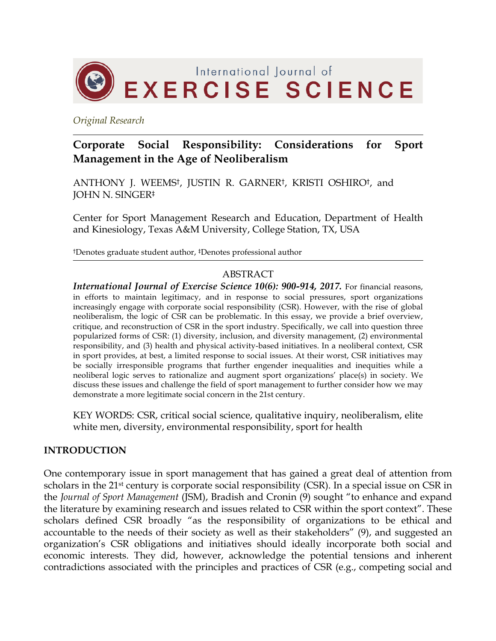

*Original Research*

# **Corporate Social Responsibility: Considerations for Sport Management in the Age of Neoliberalism**

ANTHONY J. WEEMS†, JUSTIN R. GARNER†, KRISTI OSHIRO†, and JOHN N. SINGER‡

Center for Sport Management Research and Education, Department of Health and Kinesiology, Texas A&M University, College Station, TX, USA

†Denotes graduate student author, ‡Denotes professional author

### ABSTRACT

*International Journal of Exercise Science 10(6): 900-914, 2017.* For financial reasons, in efforts to maintain legitimacy, and in response to social pressures, sport organizations increasingly engage with corporate social responsibility (CSR). However, with the rise of global neoliberalism, the logic of CSR can be problematic. In this essay, we provide a brief overview, critique, and reconstruction of CSR in the sport industry. Specifically, we call into question three popularized forms of CSR: (1) diversity, inclusion, and diversity management, (2) environmental responsibility, and (3) health and physical activity-based initiatives. In a neoliberal context, CSR in sport provides, at best, a limited response to social issues. At their worst, CSR initiatives may be socially irresponsible programs that further engender inequalities and inequities while a neoliberal logic serves to rationalize and augment sport organizations' place(s) in society. We discuss these issues and challenge the field of sport management to further consider how we may demonstrate a more legitimate social concern in the 21st century.

KEY WORDS: CSR, critical social science, qualitative inquiry, neoliberalism, elite white men, diversity, environmental responsibility, sport for health

#### **INTRODUCTION**

One contemporary issue in sport management that has gained a great deal of attention from scholars in the 21<sup>st</sup> century is corporate social responsibility (CSR). In a special issue on CSR in the *Journal of Sport Management* (JSM), Bradish and Cronin (9) sought "to enhance and expand the literature by examining research and issues related to CSR within the sport context". These scholars defined CSR broadly "as the responsibility of organizations to be ethical and accountable to the needs of their society as well as their stakeholders" (9), and suggested an organization's CSR obligations and initiatives should ideally incorporate both social and economic interests. They did, however, acknowledge the potential tensions and inherent contradictions associated with the principles and practices of CSR (e.g., competing social and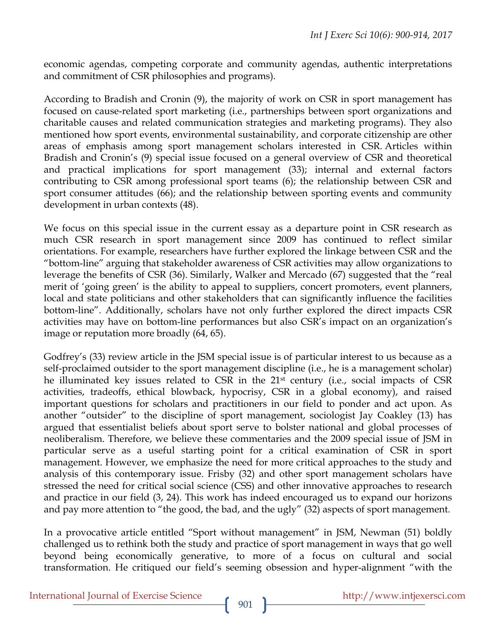economic agendas, competing corporate and community agendas, authentic interpretations and commitment of CSR philosophies and programs).

According to Bradish and Cronin (9), the majority of work on CSR in sport management has focused on cause-related sport marketing (i.e., partnerships between sport organizations and charitable causes and related communication strategies and marketing programs). They also mentioned how sport events, environmental sustainability, and corporate citizenship are other areas of emphasis among sport management scholars interested in CSR. Articles within Bradish and Cronin's (9) special issue focused on a general overview of CSR and theoretical and practical implications for sport management (33); internal and external factors contributing to CSR among professional sport teams (6); the relationship between CSR and sport consumer attitudes (66); and the relationship between sporting events and community development in urban contexts (48).

We focus on this special issue in the current essay as a departure point in CSR research as much CSR research in sport management since 2009 has continued to reflect similar orientations. For example, researchers have further explored the linkage between CSR and the "bottom-line" arguing that stakeholder awareness of CSR activities may allow organizations to leverage the benefits of CSR (36). Similarly, Walker and Mercado (67) suggested that the "real merit of 'going green' is the ability to appeal to suppliers, concert promoters, event planners, local and state politicians and other stakeholders that can significantly influence the facilities bottom-line". Additionally, scholars have not only further explored the direct impacts CSR activities may have on bottom-line performances but also CSR's impact on an organization's image or reputation more broadly (64, 65).

Godfrey's (33) review article in the JSM special issue is of particular interest to us because as a self-proclaimed outsider to the sport management discipline (i.e., he is a management scholar) he illuminated key issues related to CSR in the 21st century (i.e., social impacts of CSR activities, tradeoffs, ethical blowback, hypocrisy, CSR in a global economy), and raised important questions for scholars and practitioners in our field to ponder and act upon. As another "outsider" to the discipline of sport management, sociologist Jay Coakley (13) has argued that essentialist beliefs about sport serve to bolster national and global processes of neoliberalism. Therefore, we believe these commentaries and the 2009 special issue of JSM in particular serve as a useful starting point for a critical examination of CSR in sport management. However, we emphasize the need for more critical approaches to the study and analysis of this contemporary issue. Frisby (32) and other sport management scholars have stressed the need for critical social science (CSS) and other innovative approaches to research and practice in our field (3, 24). This work has indeed encouraged us to expand our horizons and pay more attention to "the good, the bad, and the ugly" (32) aspects of sport management.

In a provocative article entitled "Sport without management" in JSM, Newman (51) boldly challenged us to rethink both the study and practice of sport management in ways that go well beyond being economically generative, to more of a focus on cultural and social transformation. He critiqued our field's seeming obsession and hyper-alignment "with the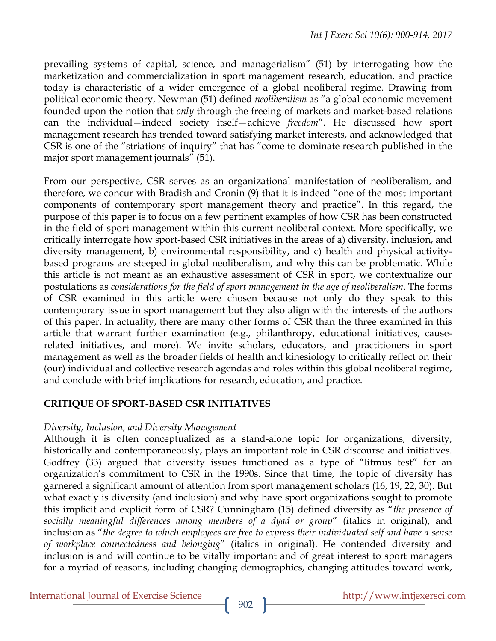prevailing systems of capital, science, and managerialism" (51) by interrogating how the marketization and commercialization in sport management research, education, and practice today is characteristic of a wider emergence of a global neoliberal regime. Drawing from political economic theory, Newman (51) defined *neoliberalism* as "a global economic movement founded upon the notion that *only* through the freeing of markets and market-based relations can the individual—indeed society itself—achieve *freedom*". He discussed how sport management research has trended toward satisfying market interests, and acknowledged that CSR is one of the "striations of inquiry" that has "come to dominate research published in the major sport management journals" (51).

From our perspective, CSR serves as an organizational manifestation of neoliberalism, and therefore, we concur with Bradish and Cronin (9) that it is indeed "one of the most important components of contemporary sport management theory and practice". In this regard, the purpose of this paper is to focus on a few pertinent examples of how CSR has been constructed in the field of sport management within this current neoliberal context. More specifically, we critically interrogate how sport-based CSR initiatives in the areas of a) diversity, inclusion, and diversity management, b) environmental responsibility, and c) health and physical activitybased programs are steeped in global neoliberalism, and why this can be problematic. While this article is not meant as an exhaustive assessment of CSR in sport, we contextualize our postulations as *considerations for the field of sport management in the age of neoliberalism*. The forms of CSR examined in this article were chosen because not only do they speak to this contemporary issue in sport management but they also align with the interests of the authors of this paper. In actuality, there are many other forms of CSR than the three examined in this article that warrant further examination (e.g., philanthropy, educational initiatives, causerelated initiatives, and more). We invite scholars, educators, and practitioners in sport management as well as the broader fields of health and kinesiology to critically reflect on their (our) individual and collective research agendas and roles within this global neoliberal regime, and conclude with brief implications for research, education, and practice.

# **CRITIQUE OF SPORT-BASED CSR INITIATIVES**

# *Diversity, Inclusion, and Diversity Management*

Although it is often conceptualized as a stand-alone topic for organizations, diversity, historically and contemporaneously, plays an important role in CSR discourse and initiatives. Godfrey (33) argued that diversity issues functioned as a type of "litmus test" for an organization's commitment to CSR in the 1990s. Since that time, the topic of diversity has garnered a significant amount of attention from sport management scholars (16, 19, 22, 30). But what exactly is diversity (and inclusion) and why have sport organizations sought to promote this implicit and explicit form of CSR? Cunningham (15) defined diversity as "*the presence of socially meaningful differences among members of a dyad or group*" (italics in original), and inclusion as "*the degree to which employees are free to express their individuated self and have a sense of workplace connectedness and belonging*" (italics in original). He contended diversity and inclusion is and will continue to be vitally important and of great interest to sport managers for a myriad of reasons, including changing demographics, changing attitudes toward work,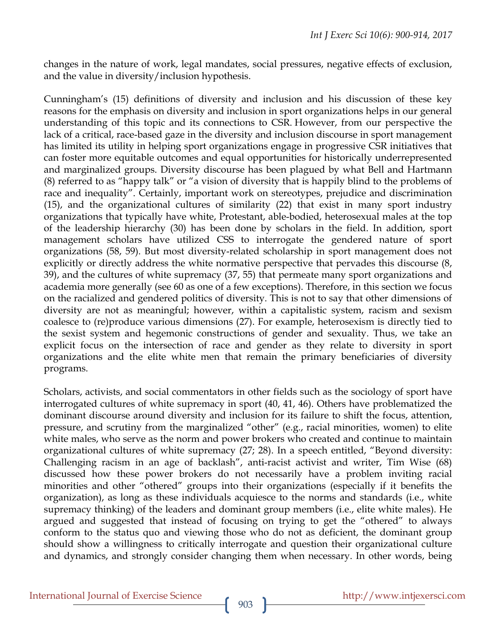changes in the nature of work, legal mandates, social pressures, negative effects of exclusion, and the value in diversity/inclusion hypothesis.

Cunningham's (15) definitions of diversity and inclusion and his discussion of these key reasons for the emphasis on diversity and inclusion in sport organizations helps in our general understanding of this topic and its connections to CSR. However, from our perspective the lack of a critical, race-based gaze in the diversity and inclusion discourse in sport management has limited its utility in helping sport organizations engage in progressive CSR initiatives that can foster more equitable outcomes and equal opportunities for historically underrepresented and marginalized groups. Diversity discourse has been plagued by what Bell and Hartmann (8) referred to as "happy talk" or "a vision of diversity that is happily blind to the problems of race and inequality". Certainly, important work on stereotypes, prejudice and discrimination (15), and the organizational cultures of similarity (22) that exist in many sport industry organizations that typically have white, Protestant, able-bodied, heterosexual males at the top of the leadership hierarchy (30) has been done by scholars in the field. In addition, sport management scholars have utilized CSS to interrogate the gendered nature of sport organizations (58, 59). But most diversity-related scholarship in sport management does not explicitly or directly address the white normative perspective that pervades this discourse (8, 39), and the cultures of white supremacy (37, 55) that permeate many sport organizations and academia more generally (see 60 as one of a few exceptions). Therefore, in this section we focus on the racialized and gendered politics of diversity. This is not to say that other dimensions of diversity are not as meaningful; however, within a capitalistic system, racism and sexism coalesce to (re)produce various dimensions (27). For example, heterosexism is directly tied to the sexist system and hegemonic constructions of gender and sexuality. Thus, we take an explicit focus on the intersection of race and gender as they relate to diversity in sport organizations and the elite white men that remain the primary beneficiaries of diversity programs.

Scholars, activists, and social commentators in other fields such as the sociology of sport have interrogated cultures of white supremacy in sport (40, 41, 46). Others have problematized the dominant discourse around diversity and inclusion for its failure to shift the focus, attention, pressure, and scrutiny from the marginalized "other" (e.g., racial minorities, women) to elite white males, who serve as the norm and power brokers who created and continue to maintain organizational cultures of white supremacy (27; 28). In a speech entitled, "Beyond diversity: Challenging racism in an age of backlash", anti-racist activist and writer, Tim Wise (68) discussed how these power brokers do not necessarily have a problem inviting racial minorities and other "othered" groups into their organizations (especially if it benefits the organization), as long as these individuals acquiesce to the norms and standards (i.e., white supremacy thinking) of the leaders and dominant group members (i.e., elite white males). He argued and suggested that instead of focusing on trying to get the "othered" to always conform to the status quo and viewing those who do not as deficient, the dominant group should show a willingness to critically interrogate and question their organizational culture and dynamics, and strongly consider changing them when necessary. In other words, being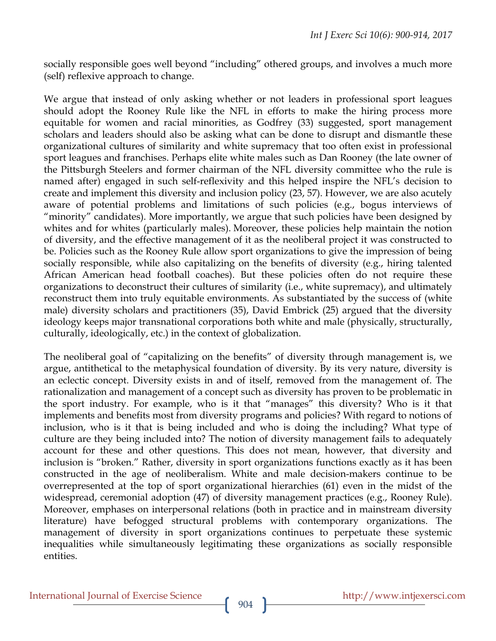socially responsible goes well beyond "including" othered groups, and involves a much more (self) reflexive approach to change.

We argue that instead of only asking whether or not leaders in professional sport leagues should adopt the Rooney Rule like the NFL in efforts to make the hiring process more equitable for women and racial minorities, as Godfrey (33) suggested, sport management scholars and leaders should also be asking what can be done to disrupt and dismantle these organizational cultures of similarity and white supremacy that too often exist in professional sport leagues and franchises. Perhaps elite white males such as Dan Rooney (the late owner of the Pittsburgh Steelers and former chairman of the NFL diversity committee who the rule is named after) engaged in such self-reflexivity and this helped inspire the NFL's decision to create and implement this diversity and inclusion policy (23, 57). However, we are also acutely aware of potential problems and limitations of such policies (e.g., bogus interviews of "minority" candidates). More importantly, we argue that such policies have been designed by whites and for whites (particularly males). Moreover, these policies help maintain the notion of diversity, and the effective management of it as the neoliberal project it was constructed to be. Policies such as the Rooney Rule allow sport organizations to give the impression of being socially responsible, while also capitalizing on the benefits of diversity (e.g., hiring talented African American head football coaches). But these policies often do not require these organizations to deconstruct their cultures of similarity (i.e., white supremacy), and ultimately reconstruct them into truly equitable environments. As substantiated by the success of (white male) diversity scholars and practitioners (35), David Embrick (25) argued that the diversity ideology keeps major transnational corporations both white and male (physically, structurally, culturally, ideologically, etc.) in the context of globalization.

The neoliberal goal of "capitalizing on the benefits" of diversity through management is, we argue, antithetical to the metaphysical foundation of diversity. By its very nature, diversity is an eclectic concept. Diversity exists in and of itself, removed from the management of. The rationalization and management of a concept such as diversity has proven to be problematic in the sport industry. For example, who is it that "manages" this diversity? Who is it that implements and benefits most from diversity programs and policies? With regard to notions of inclusion, who is it that is being included and who is doing the including? What type of culture are they being included into? The notion of diversity management fails to adequately account for these and other questions. This does not mean, however, that diversity and inclusion is "broken." Rather, diversity in sport organizations functions exactly as it has been constructed in the age of neoliberalism. White and male decision-makers continue to be overrepresented at the top of sport organizational hierarchies (61) even in the midst of the widespread, ceremonial adoption (47) of diversity management practices (e.g., Rooney Rule). Moreover, emphases on interpersonal relations (both in practice and in mainstream diversity literature) have befogged structural problems with contemporary organizations. The management of diversity in sport organizations continues to perpetuate these systemic inequalities while simultaneously legitimating these organizations as socially responsible entities.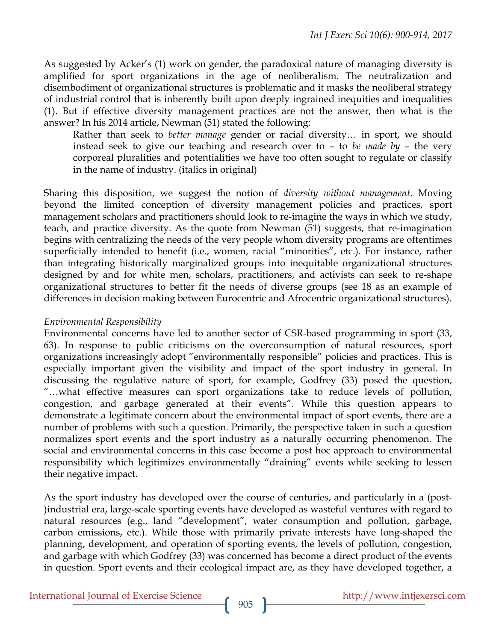As suggested by Acker's (1) work on gender, the paradoxical nature of managing diversity is amplified for sport organizations in the age of neoliberalism. The neutralization and disembodiment of organizational structures is problematic and it masks the neoliberal strategy of industrial control that is inherently built upon deeply ingrained inequities and inequalities (1). But if effective diversity management practices are not the answer, then what is the answer? In his 2014 article, Newman (51) stated the following:

Rather than seek to *better manage* gender or racial diversity… in sport, we should instead seek to give our teaching and research over to – to *be made by* – the very corporeal pluralities and potentialities we have too often sought to regulate or classify in the name of industry. (italics in original)

Sharing this disposition, we suggest the notion of *diversity without management*. Moving beyond the limited conception of diversity management policies and practices, sport management scholars and practitioners should look to re-imagine the ways in which we study, teach, and practice diversity. As the quote from Newman (51) suggests, that re-imagination begins with centralizing the needs of the very people whom diversity programs are oftentimes superficially intended to benefit (i.e., women, racial "minorities", etc.). For instance, rather than integrating historically marginalized groups into inequitable organizational structures designed by and for white men, scholars, practitioners, and activists can seek to re-shape organizational structures to better fit the needs of diverse groups (see 18 as an example of differences in decision making between Eurocentric and Afrocentric organizational structures).

### *Environmental Responsibility*

Environmental concerns have led to another sector of CSR-based programming in sport (33, 63). In response to public criticisms on the overconsumption of natural resources, sport organizations increasingly adopt "environmentally responsible" policies and practices. This is especially important given the visibility and impact of the sport industry in general. In discussing the regulative nature of sport, for example, Godfrey (33) posed the question, "…what effective measures can sport organizations take to reduce levels of pollution, congestion, and garbage generated at their events". While this question appears to demonstrate a legitimate concern about the environmental impact of sport events, there are a number of problems with such a question. Primarily, the perspective taken in such a question normalizes sport events and the sport industry as a naturally occurring phenomenon. The social and environmental concerns in this case become a post hoc approach to environmental responsibility which legitimizes environmentally "draining" events while seeking to lessen their negative impact.

As the sport industry has developed over the course of centuries, and particularly in a (post- )industrial era, large-scale sporting events have developed as wasteful ventures with regard to natural resources (e.g., land "development", water consumption and pollution, garbage, carbon emissions, etc.). While those with primarily private interests have long-shaped the planning, development, and operation of sporting events, the levels of pollution, congestion, and garbage with which Godfrey (33) was concerned has become a direct product of the events in question. Sport events and their ecological impact are, as they have developed together, a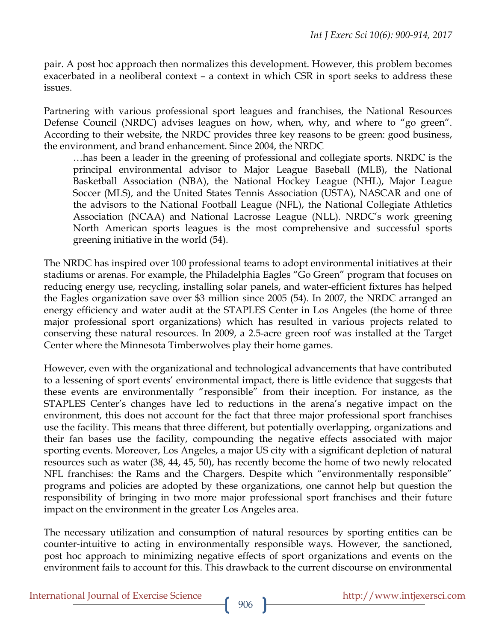pair. A post hoc approach then normalizes this development. However, this problem becomes exacerbated in a neoliberal context – a context in which CSR in sport seeks to address these issues.

Partnering with various professional sport leagues and franchises, the National Resources Defense Council (NRDC) advises leagues on how, when, why, and where to "go green". According to their website, the NRDC provides three key reasons to be green: good business, the environment, and brand enhancement. Since 2004, the NRDC

…has been a leader in the greening of professional and collegiate sports. NRDC is the principal environmental advisor to Major League Baseball (MLB), the National Basketball Association (NBA), the National Hockey League (NHL), Major League Soccer (MLS), and the United States Tennis Association (USTA), NASCAR and one of the advisors to the National Football League (NFL), the National Collegiate Athletics Association (NCAA) and National Lacrosse League (NLL). NRDC's work greening North American sports leagues is the most comprehensive and successful sports greening initiative in the world (54).

The NRDC has inspired over 100 professional teams to adopt environmental initiatives at their stadiums or arenas. For example, the Philadelphia Eagles "Go Green" program that focuses on reducing energy use, recycling, installing solar panels, and water-efficient fixtures has helped the Eagles organization save over \$3 million since 2005 (54). In 2007, the NRDC arranged an energy efficiency and water audit at the STAPLES Center in Los Angeles (the home of three major professional sport organizations) which has resulted in various projects related to conserving these natural resources. In 2009, a 2.5-acre green roof was installed at the Target Center where the Minnesota Timberwolves play their home games.

However, even with the organizational and technological advancements that have contributed to a lessening of sport events' environmental impact, there is little evidence that suggests that these events are environmentally "responsible" from their inception. For instance, as the STAPLES Center's changes have led to reductions in the arena's negative impact on the environment, this does not account for the fact that three major professional sport franchises use the facility. This means that three different, but potentially overlapping, organizations and their fan bases use the facility, compounding the negative effects associated with major sporting events. Moreover, Los Angeles, a major US city with a significant depletion of natural resources such as water (38, 44, 45, 50), has recently become the home of two newly relocated NFL franchises: the Rams and the Chargers. Despite which "environmentally responsible" programs and policies are adopted by these organizations, one cannot help but question the responsibility of bringing in two more major professional sport franchises and their future impact on the environment in the greater Los Angeles area.

The necessary utilization and consumption of natural resources by sporting entities can be counter-intuitive to acting in environmentally responsible ways. However, the sanctioned, post hoc approach to minimizing negative effects of sport organizations and events on the environment fails to account for this. This drawback to the current discourse on environmental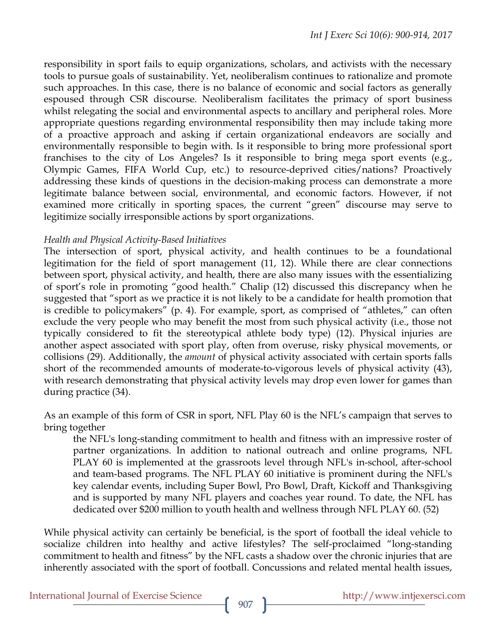responsibility in sport fails to equip organizations, scholars, and activists with the necessary tools to pursue goals of sustainability. Yet, neoliberalism continues to rationalize and promote such approaches. In this case, there is no balance of economic and social factors as generally espoused through CSR discourse. Neoliberalism facilitates the primacy of sport business whilst relegating the social and environmental aspects to ancillary and peripheral roles. More appropriate questions regarding environmental responsibility then may include taking more of a proactive approach and asking if certain organizational endeavors are socially and environmentally responsible to begin with. Is it responsible to bring more professional sport franchises to the city of Los Angeles? Is it responsible to bring mega sport events (e.g., Olympic Games, FIFA World Cup, etc.) to resource-deprived cities/nations? Proactively addressing these kinds of questions in the decision-making process can demonstrate a more legitimate balance between social, environmental, and economic factors. However, if not examined more critically in sporting spaces, the current "green" discourse may serve to legitimize socially irresponsible actions by sport organizations.

# *Health and Physical Activity-Based Initiatives*

The intersection of sport, physical activity, and health continues to be a foundational legitimation for the field of sport management (11, 12). While there are clear connections between sport, physical activity, and health, there are also many issues with the essentializing of sport's role in promoting "good health." Chalip (12) discussed this discrepancy when he suggested that "sport as we practice it is not likely to be a candidate for health promotion that is credible to policymakers" (p. 4). For example, sport, as comprised of "athletes," can often exclude the very people who may benefit the most from such physical activity (i.e., those not typically considered to fit the stereotypical athlete body type) (12). Physical injuries are another aspect associated with sport play, often from overuse, risky physical movements, or collisions (29). Additionally, the *amount* of physical activity associated with certain sports falls short of the recommended amounts of moderate-to-vigorous levels of physical activity (43), with research demonstrating that physical activity levels may drop even lower for games than during practice (34).

As an example of this form of CSR in sport, NFL Play 60 is the NFL's campaign that serves to bring together

the NFL's long-standing commitment to health and fitness with an impressive roster of partner organizations. In addition to national outreach and online programs, NFL PLAY 60 is implemented at the grassroots level through NFL's in-school, after-school and team-based programs. The NFL PLAY 60 initiative is prominent during the NFL's key calendar events, including Super Bowl, Pro Bowl, Draft, Kickoff and Thanksgiving and is supported by many NFL players and coaches year round. To date, the NFL has dedicated over \$200 million to youth health and wellness through NFL PLAY 60. (52)

While physical activity can certainly be beneficial, is the sport of football the ideal vehicle to socialize children into healthy and active lifestyles? The self-proclaimed "long-standing commitment to health and fitness" by the NFL casts a shadow over the chronic injuries that are inherently associated with the sport of football. Concussions and related mental health issues,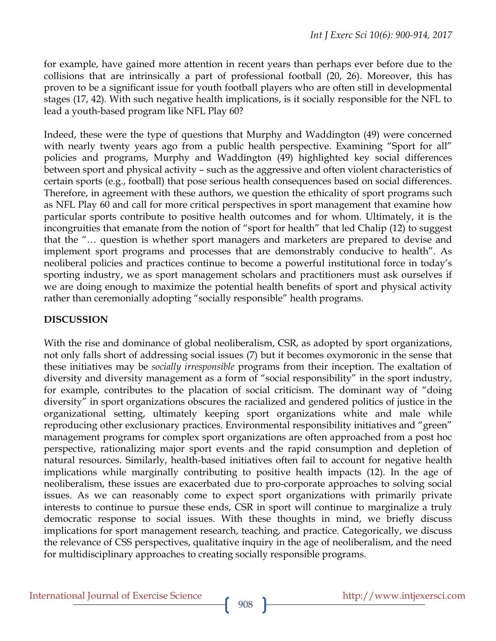for example, have gained more attention in recent years than perhaps ever before due to the collisions that are intrinsically a part of professional football (20, 26). Moreover, this has proven to be a significant issue for youth football players who are often still in developmental stages (17, 42). With such negative health implications, is it socially responsible for the NFL to lead a youth-based program like NFL Play 60?

Indeed, these were the type of questions that Murphy and Waddington (49) were concerned with nearly twenty years ago from a public health perspective. Examining "Sport for all" policies and programs, Murphy and Waddington (49) highlighted key social differences between sport and physical activity – such as the aggressive and often violent characteristics of certain sports (e.g., football) that pose serious health consequences based on social differences. Therefore, in agreement with these authors, we question the ethicality of sport programs such as NFL Play 60 and call for more critical perspectives in sport management that examine how particular sports contribute to positive health outcomes and for whom. Ultimately, it is the incongruities that emanate from the notion of "sport for health" that led Chalip (12) to suggest that the "… question is whether sport managers and marketers are prepared to devise and implement sport programs and processes that are demonstrably conducive to health". As neoliberal policies and practices continue to become a powerful institutional force in today's sporting industry, we as sport management scholars and practitioners must ask ourselves if we are doing enough to maximize the potential health benefits of sport and physical activity rather than ceremonially adopting "socially responsible" health programs.

# **DISCUSSION**

With the rise and dominance of global neoliberalism, CSR, as adopted by sport organizations, not only falls short of addressing social issues (7) but it becomes oxymoronic in the sense that these initiatives may be *socially irresponsible* programs from their inception. The exaltation of diversity and diversity management as a form of "social responsibility" in the sport industry, for example, contributes to the placation of social criticism. The dominant way of "doing diversity" in sport organizations obscures the racialized and gendered politics of justice in the organizational setting, ultimately keeping sport organizations white and male while reproducing other exclusionary practices. Environmental responsibility initiatives and "green" management programs for complex sport organizations are often approached from a post hoc perspective, rationalizing major sport events and the rapid consumption and depletion of natural resources. Similarly, health-based initiatives often fail to account for negative health implications while marginally contributing to positive health impacts (12). In the age of neoliberalism, these issues are exacerbated due to pro-corporate approaches to solving social issues. As we can reasonably come to expect sport organizations with primarily private interests to continue to pursue these ends, CSR in sport will continue to marginalize a truly democratic response to social issues. With these thoughts in mind, we briefly discuss implications for sport management research, teaching, and practice. Categorically, we discuss the relevance of CSS perspectives, qualitative inquiry in the age of neoliberalism, and the need for multidisciplinary approaches to creating socially responsible programs.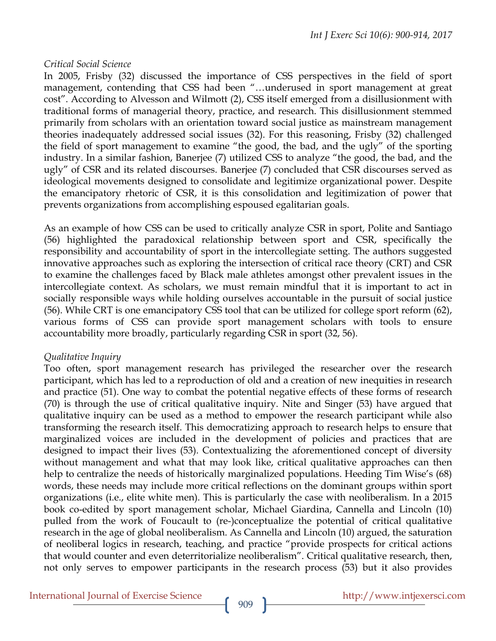### *Critical Social Science*

In 2005, Frisby (32) discussed the importance of CSS perspectives in the field of sport management, contending that CSS had been "…underused in sport management at great cost". According to Alvesson and Wilmott (2), CSS itself emerged from a disillusionment with traditional forms of managerial theory, practice, and research. This disillusionment stemmed primarily from scholars with an orientation toward social justice as mainstream management theories inadequately addressed social issues (32). For this reasoning, Frisby (32) challenged the field of sport management to examine "the good, the bad, and the ugly" of the sporting industry. In a similar fashion, Banerjee (7) utilized CSS to analyze "the good, the bad, and the ugly" of CSR and its related discourses. Banerjee (7) concluded that CSR discourses served as ideological movements designed to consolidate and legitimize organizational power. Despite the emancipatory rhetoric of CSR, it is this consolidation and legitimization of power that prevents organizations from accomplishing espoused egalitarian goals.

As an example of how CSS can be used to critically analyze CSR in sport, Polite and Santiago (56) highlighted the paradoxical relationship between sport and CSR, specifically the responsibility and accountability of sport in the intercollegiate setting. The authors suggested innovative approaches such as exploring the intersection of critical race theory (CRT) and CSR to examine the challenges faced by Black male athletes amongst other prevalent issues in the intercollegiate context. As scholars, we must remain mindful that it is important to act in socially responsible ways while holding ourselves accountable in the pursuit of social justice (56). While CRT is one emancipatory CSS tool that can be utilized for college sport reform (62), various forms of CSS can provide sport management scholars with tools to ensure accountability more broadly, particularly regarding CSR in sport (32, 56).

### *Qualitative Inquiry*

Too often, sport management research has privileged the researcher over the research participant, which has led to a reproduction of old and a creation of new inequities in research and practice (51). One way to combat the potential negative effects of these forms of research (70) is through the use of critical qualitative inquiry. Nite and Singer (53) have argued that qualitative inquiry can be used as a method to empower the research participant while also transforming the research itself. This democratizing approach to research helps to ensure that marginalized voices are included in the development of policies and practices that are designed to impact their lives (53). Contextualizing the aforementioned concept of diversity without management and what that may look like, critical qualitative approaches can then help to centralize the needs of historically marginalized populations. Heeding Tim Wise's (68) words, these needs may include more critical reflections on the dominant groups within sport organizations (i.e., elite white men). This is particularly the case with neoliberalism. In a 2015 book co-edited by sport management scholar, Michael Giardina, Cannella and Lincoln (10) pulled from the work of Foucault to (re-)conceptualize the potential of critical qualitative research in the age of global neoliberalism. As Cannella and Lincoln (10) argued, the saturation of neoliberal logics in research, teaching, and practice "provide prospects for critical actions that would counter and even deterritorialize neoliberalism". Critical qualitative research, then, not only serves to empower participants in the research process (53) but it also provides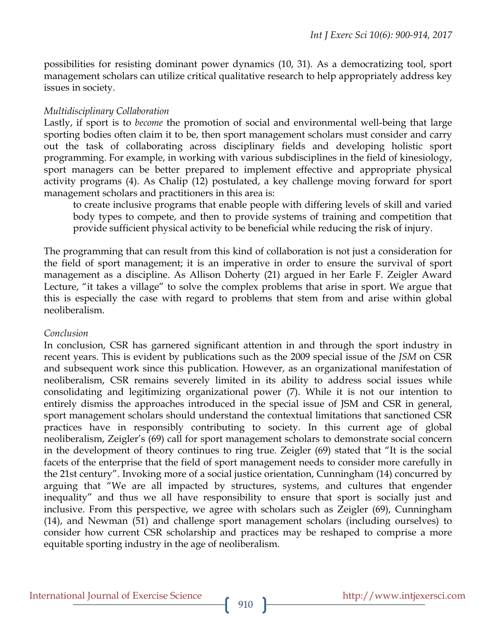possibilities for resisting dominant power dynamics (10, 31). As a democratizing tool, sport management scholars can utilize critical qualitative research to help appropriately address key issues in society.

# *Multidisciplinary Collaboration*

Lastly, if sport is to *become* the promotion of social and environmental well-being that large sporting bodies often claim it to be, then sport management scholars must consider and carry out the task of collaborating across disciplinary fields and developing holistic sport programming. For example, in working with various subdisciplines in the field of kinesiology, sport managers can be better prepared to implement effective and appropriate physical activity programs (4). As Chalip (12) postulated, a key challenge moving forward for sport management scholars and practitioners in this area is:

to create inclusive programs that enable people with differing levels of skill and varied body types to compete, and then to provide systems of training and competition that provide sufficient physical activity to be beneficial while reducing the risk of injury.

The programming that can result from this kind of collaboration is not just a consideration for the field of sport management; it is an imperative in order to ensure the survival of sport management as a discipline. As Allison Doherty (21) argued in her Earle F. Zeigler Award Lecture, "it takes a village" to solve the complex problems that arise in sport. We argue that this is especially the case with regard to problems that stem from and arise within global neoliberalism.

# *Conclusion*

In conclusion, CSR has garnered significant attention in and through the sport industry in recent years. This is evident by publications such as the 2009 special issue of the *JSM* on CSR and subsequent work since this publication. However, as an organizational manifestation of neoliberalism, CSR remains severely limited in its ability to address social issues while consolidating and legitimizing organizational power (7). While it is not our intention to entirely dismiss the approaches introduced in the special issue of JSM and CSR in general, sport management scholars should understand the contextual limitations that sanctioned CSR practices have in responsibly contributing to society. In this current age of global neoliberalism, Zeigler's (69) call for sport management scholars to demonstrate social concern in the development of theory continues to ring true. Zeigler (69) stated that "It is the social facets of the enterprise that the field of sport management needs to consider more carefully in the 21st century". Invoking more of a social justice orientation, Cunningham (14) concurred by arguing that "We are all impacted by structures, systems, and cultures that engender inequality" and thus we all have responsibility to ensure that sport is socially just and inclusive. From this perspective, we agree with scholars such as Zeigler (69), Cunningham (14), and Newman (51) and challenge sport management scholars (including ourselves) to consider how current CSR scholarship and practices may be reshaped to comprise a more equitable sporting industry in the age of neoliberalism.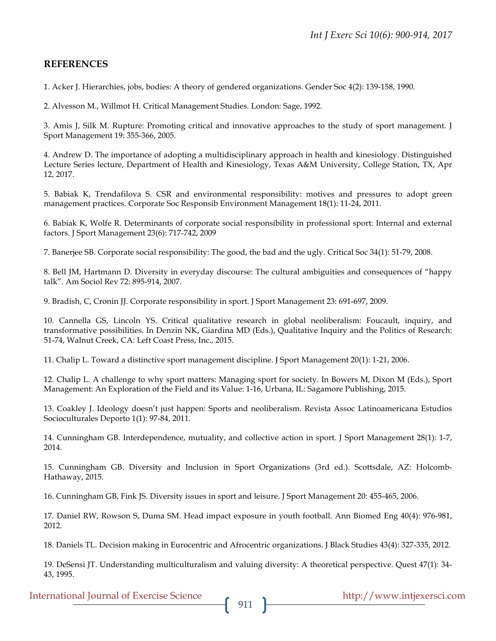#### **REFERENCES**

1. Acker J. Hierarchies, jobs, bodies: A theory of gendered organizations. Gender Soc 4(2): 139-158, 1990.

2. Alvesson M., Willmot H. Critical Management Studies*.* London: Sage, 1992.

3. Amis J, Silk M. Rupture: Promoting critical and innovative approaches to the study of sport management. J Sport Management 19: 355-366, 2005.

4. Andrew D. The importance of adopting a multidisciplinary approach in health and kinesiology. Distinguished Lecture Series lecture, Department of Health and Kinesiology, Texas A&M University, College Station, TX, Apr 12, 2017.

5. Babiak K, Trendafilova S. CSR and environmental responsibility: motives and pressures to adopt green management practices. Corporate Soc Responsib Environment Management 18(1): 11-24, 2011.

6. Babiak K, Wolfe R. Determinants of corporate social responsibility in professional sport: Internal and external factors. J Sport Management 23(6): 717-742, 2009

7. Banerjee SB. Corporate social responsibility: The good, the bad and the ugly. Critical Soc 34(1): 51-79, 2008.

8. Bell JM, Hartmann D. Diversity in everyday discourse: The cultural ambiguities and consequences of "happy talk". Am Sociol Rev 72: 895-914, 2007.

9. Bradish, C, Cronin JJ. Corporate responsibility in sport. J Sport Management 23: 691-697, 2009.

10. Cannella GS, Lincoln YS. Critical qualitative research in global neoliberalism: Foucault, inquiry, and transformative possibilities. In Denzin NK, Giardina MD (Eds.), Qualitative Inquiry and the Politics of Research: 51-74, Walnut Creek, CA: Left Coast Press, Inc., 2015.

11. Chalip L. Toward a distinctive sport management discipline. J Sport Management 20(1): 1-21, 2006.

12. Chalip L. A challenge to why sport matters: Managing sport for society. In Bowers M, Dixon M (Eds.), Sport Management: An Exploration of the Field and its Value: 1-16, Urbana, IL: Sagamore Publishing, 2015.

13. Coakley J. Ideology doesn't just happen: Sports and neoliberalism. Revista Assoc Latinoamericana Estudios Socioculturales Deporto 1(1): 97-84, 2011.

14. Cunningham GB. Interdependence, mutuality, and collective action in sport. J Sport Management 28(1): 1-7, 2014.

15. Cunningham GB. Diversity and Inclusion in Sport Organizations (3rd ed.). Scottsdale, AZ: Holcomb-Hathaway, 2015.

16. Cunningham GB, Fink JS. Diversity issues in sport and leisure. J Sport Management 20: 455-465, 2006.

17. Daniel RW, Rowson S, Duma SM. Head impact exposure in youth football. Ann Biomed Eng 40(4): 976-981, 2012.

18. Daniels TL. Decision making in Eurocentric and Afrocentric organizations. J Black Studies 43(4): 327-335, 2012.

19. DeSensi JT. Understanding multiculturalism and valuing diversity: A theoretical perspective. Quest 47(1): 34- 43, 1995.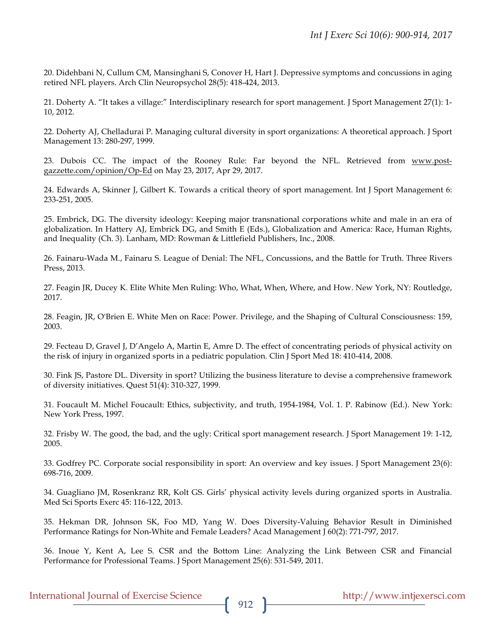20. Didehbani N, Cullum CM, Mansinghani S, Conover H, Hart J. Depressive symptoms and concussions in aging retired NFL players. Arch Clin Neuropsychol 28(5): 418-424, 2013.

21. Doherty A. "It takes a village:" Interdisciplinary research for sport management. J Sport Management 27(1): 1- 10, 2012.

22. Doherty AJ, Chelladurai P. Managing cultural diversity in sport organizations: A theoretical approach. J Sport Management 13: 280-297, 1999.

23. Dubois CC. The impact of the Rooney Rule: Far beyond the NFL. Retrieved from www.postgazzette.com/opinion/Op-Ed on May 23, 2017, Apr 29, 2017.

24. Edwards A, Skinner J, Gilbert K. Towards a critical theory of sport management. Int J Sport Management 6: 233-251, 2005.

25. Embrick, DG. The diversity ideology: Keeping major transnational corporations white and male in an era of globalization. In Hattery AJ, Embrick DG, and Smith E (Eds.), Globalization and America: Race, Human Rights, and Inequality (Ch. 3). Lanham, MD: Rowman & Littlefield Publishers, Inc., 2008.

26. Fainaru-Wada M., Fainaru S. League of Denial: The NFL, Concussions, and the Battle for Truth. Three Rivers Press, 2013.

27. Feagin JR, Ducey K. Elite White Men Ruling: Who, What, When, Where, and How. New York, NY: Routledge, 2017.

28. Feagin, JR, O'Brien E. White Men on Race: Power. Privilege, and the Shaping of Cultural Consciousness: 159, 2003.

29. Fecteau D, Gravel J, D'Angelo A, Martin E, Amre D. The effect of concentrating periods of physical activity on the risk of injury in organized sports in a pediatric population. Clin J Sport Med 18: 410-414, 2008.

30. Fink JS, Pastore DL. Diversity in sport? Utilizing the business literature to devise a comprehensive framework of diversity initiatives. Quest 51(4): 310-327, 1999.

31. Foucault M. Michel Foucault: Ethics, subjectivity, and truth, 1954-1984, Vol. 1. P. Rabinow (Ed.). New York: New York Press, 1997.

32. Frisby W. The good, the bad, and the ugly: Critical sport management research. J Sport Management 19: 1-12, 2005.

33. Godfrey PC. Corporate social responsibility in sport: An overview and key issues. J Sport Management 23(6): 698-716, 2009.

34. Guagliano JM, Rosenkranz RR, Kolt GS. Girls' physical activity levels during organized sports in Australia. Med Sci Sports Exerc 45: 116-122, 2013.

35. Hekman DR, Johnson SK, Foo MD, Yang W. Does Diversity-Valuing Behavior Result in Diminished Performance Ratings for Non-White and Female Leaders? Acad Management J 60(2): 771-797, 2017.

36. Inoue Y, Kent A, Lee S. CSR and the Bottom Line: Analyzing the Link Between CSR and Financial Performance for Professional Teams. J Sport Management 25(6): 531-549, 2011.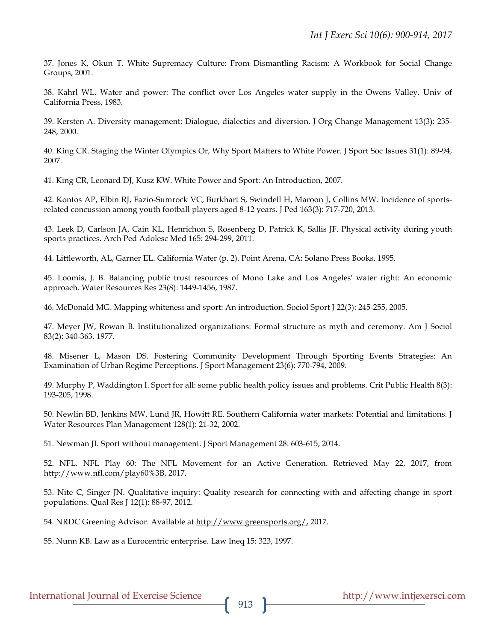37. Jones K, Okun T. White Supremacy Culture: From Dismantling Racism: A Workbook for Social Change Groups, 2001.

38. Kahrl WL. Water and power: The conflict over Los Angeles water supply in the Owens Valley. Univ of California Press, 1983.

39. Kersten A. Diversity management: Dialogue, dialectics and diversion. J Org Change Management 13(3): 235- 248, 2000.

40. King CR. Staging the Winter Olympics Or, Why Sport Matters to White Power. J Sport Soc Issues 31(1): 89-94, 2007.

41. King CR, Leonard DJ, Kusz KW. White Power and Sport: An Introduction, 2007.

42. Kontos AP, Elbin RJ, Fazio-Sumrock VC, Burkhart S, Swindell H, Maroon J, Collins MW. Incidence of sportsrelated concussion among youth football players aged 8-12 years. J Ped 163(3): 717-720, 2013.

43. Leek D, Carlson JA, Cain KL, Henrichon S, Rosenberg D, Patrick K, Sallis JF. Physical activity during youth sports practices. Arch Ped Adolesc Med 165: 294-299, 2011.

44. Littleworth, AL, Garner EL. California Water (p. 2). Point Arena, CA: Solano Press Books, 1995.

45. Loomis, J. B. Balancing public trust resources of Mono Lake and Los Angeles' water right: An economic approach. Water Resources Res 23(8): 1449-1456, 1987.

46. McDonald MG. Mapping whiteness and sport: An introduction. Sociol Sport J 22(3): 245-255, 2005.

47. Meyer JW, Rowan B. Institutionalized organizations: Formal structure as myth and ceremony. Am J Sociol 83(2): 340-363, 1977.

48. Misener L, Mason DS. Fostering Community Development Through Sporting Events Strategies: An Examination of Urban Regime Perceptions. J Sport Management 23(6): 770-794, 2009.

49. Murphy P, Waddington I. Sport for all: some public health policy issues and problems. Crit Public Health 8(3): 193-205, 1998.

50. Newlin BD, Jenkins MW, Lund JR, Howitt RE. Southern California water markets: Potential and limitations. J Water Resources Plan Management 128(1): 21-32, 2002.

51. Newman JI. Sport without management. J Sport Management 28: 603-615, 2014.

52. NFL. NFL Play 60: The NFL Movement for an Active Generation. Retrieved May 22, 2017, from http://www.nfl.com/play60%3B, 2017.

53. Nite C, Singer JN. Qualitative inquiry: Quality research for connecting with and affecting change in sport populations. Qual Res J 12(1): 88-97, 2012.

54. NRDC Greening Advisor. Available at http://www.greensports.org/, 2017.

55. Nunn KB. Law as a Eurocentric enterprise. Law Ineq 15: 323, 1997.